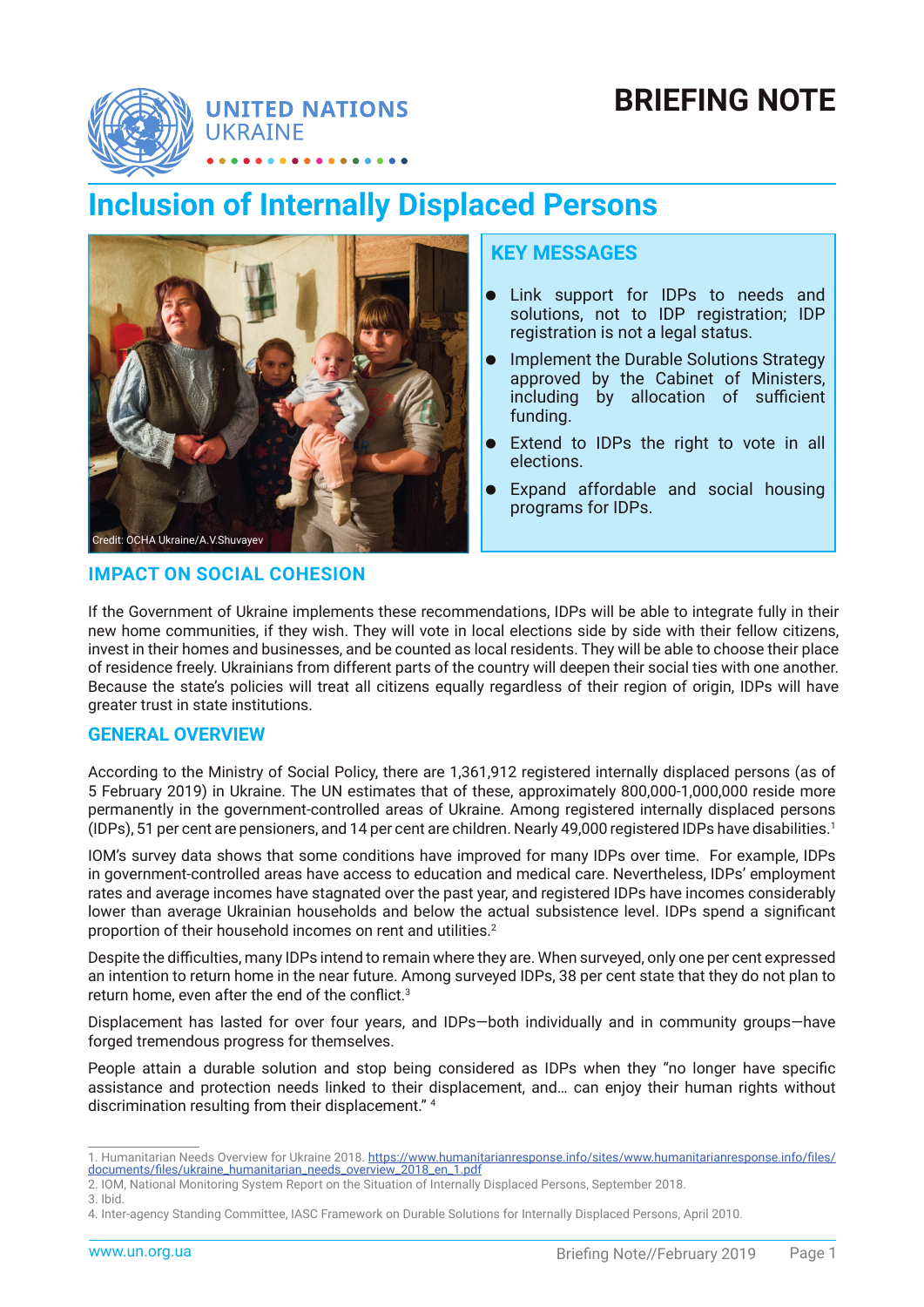

# **BRIEFING NOTE**

# **Inclusion of Internally Displaced Persons**



## **KEY MESSAGES**

- **•** Link support for IDPs to needs and solutions, not to IDP registration; IDP registration is not a legal status.
- **•** Implement the Durable Solutions Strategy approved by the Cabinet of Ministers, including by allocation of sufficient funding.
- Extend to IDPs the right to vote in all elections.
- Expand affordable and social housing programs for IDPs.

## **IMPACT ON SOCIAL COHESION**

If the Government of Ukraine implements these recommendations, IDPs will be able to integrate fully in their new home communities, if they wish. They will vote in local elections side by side with their fellow citizens, invest in their homes and businesses, and be counted as local residents. They will be able to choose their place of residence freely. Ukrainians from different parts of the country will deepen their social ties with one another. Because the state's policies will treat all citizens equally regardless of their region of origin, IDPs will have greater trust in state institutions.

# **GENERAL OVERVIEW**

According to the Ministry of Social Policy, there are 1,361,912 registered internally displaced persons (as of 5 February 2019) in Ukraine. The UN estimates that of these, approximately 800,000-1,000,000 reside more permanently in the government-controlled areas of Ukraine. Among registered internally displaced persons (IDPs), 51 per cent are pensioners, and 14 per cent are children. Nearly 49,000 registered IDPs have disabilities.<sup>1</sup>

IOM's survey data shows that some conditions have improved for many IDPs over time. For example, IDPs in government-controlled areas have access to education and medical care. Nevertheless, IDPs' employment rates and average incomes have stagnated over the past year, and registered IDPs have incomes considerably lower than average Ukrainian households and below the actual subsistence level. IDPs spend a significant proportion of their household incomes on rent and utilities.<sup>2</sup>

Despite the difficulties, many IDPs intend to remain where they are. When surveyed, only one per cent expressed an intention to return home in the near future. Among surveyed IDPs, 38 per cent state that they do not plan to return home, even after the end of the conflict.<sup>3</sup>

Displacement has lasted for over four years, and IDPs—both individually and in community groups—have forged tremendous progress for themselves.

People attain a durable solution and stop being considered as IDPs when they "no longer have specific assistance and protection needs linked to their displacement, and… can enjoy their human rights without discrimination resulting from their displacement." 4

<sup>1.</sup> Humanitarian Needs Overview for Ukraine 2018. [https://www.humanitarianresponse.info/sites/www.humanitarianresponse.info/files/](https://www.humanitarianresponse.info/sites/www.humanitarianresponse.info/files/documents/files/ukraine_humanitarian_needs_overview_2018_en_1.pdf) [documents/files/ukraine\\_humanitarian\\_needs\\_overview\\_2018\\_en\\_1.pdf](https://www.humanitarianresponse.info/sites/www.humanitarianresponse.info/files/documents/files/ukraine_humanitarian_needs_overview_2018_en_1.pdf)

<sup>2.</sup> IOM, National Monitoring System Report on the Situation of Internally Displaced Persons, September 2018. 3. Ibid.

<sup>4.</sup> Inter-agency Standing Committee, IASC Framework on Durable Solutions for Internally Displaced Persons, April 2010.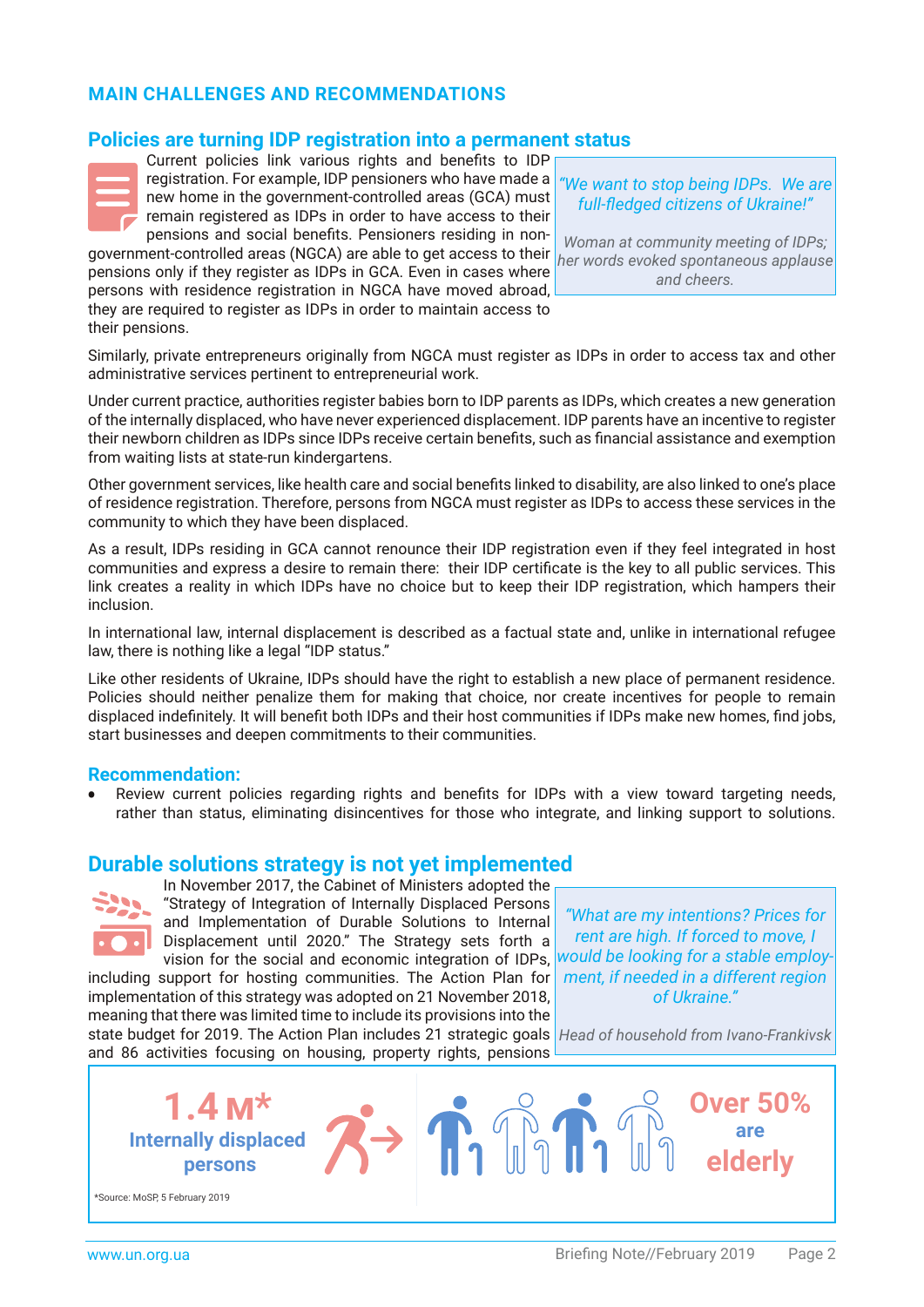# **MAIN CHALLENGES AND RECOMMENDATIONS**

# **Policies are turning IDP registration into a permanent status**



Current policies link various rights and benefits to IDP registration. For example, IDP pensioners who have made a new home in the government-controlled areas (GCA) must remain registered as IDPs in order to have access to their pensions and social benefits. Pensioners residing in non-

government-controlled areas (NGCA) are able to get access to their pensions only if they register as IDPs in GCA. Even in cases where persons with residence registration in NGCA have moved abroad, they are required to register as IDPs in order to maintain access to their pensions.

*"We want to stop being IDPs. We are full-fledged citizens of Ukraine!"*

*Woman at community meeting of IDPs; her words evoked spontaneous applause and cheers.*

Similarly, private entrepreneurs originally from NGCA must register as IDPs in order to access tax and other administrative services pertinent to entrepreneurial work.

Under current practice, authorities register babies born to IDP parents as IDPs, which creates a new generation of the internally displaced, who have never experienced displacement. IDP parents have an incentive to register their newborn children as IDPs since IDPs receive certain benefits, such as financial assistance and exemption from waiting lists at state-run kindergartens.

Other government services, like health care and social benefits linked to disability, are also linked to one's place of residence registration. Therefore, persons from NGCA must register as IDPs to access these services in the community to which they have been displaced.

As a result, IDPs residing in GCA cannot renounce their IDP registration even if they feel integrated in host communities and express a desire to remain there: their IDP certificate is the key to all public services. This link creates a reality in which IDPs have no choice but to keep their IDP registration, which hampers their inclusion.

In international law, internal displacement is described as a factual state and, unlike in international refugee law, there is nothing like a legal "IDP status."

Like other residents of Ukraine, IDPs should have the right to establish a new place of permanent residence. Policies should neither penalize them for making that choice, nor create incentives for people to remain displaced indefinitely. It will benefit both IDPs and their host communities if IDPs make new homes, find jobs, start businesses and deepen commitments to their communities.

## **Recommendation:**

Review current policies regarding rights and benefits for IDPs with a view toward targeting needs, rather than status, eliminating disincentives for those who integrate, and linking support to solutions.

## **Durable solutions strategy is not yet implemented**



In November 2017, the Cabinet of Ministers adopted the "Strategy of Integration of Internally Displaced Persons and Implementation of Durable Solutions to Internal Displacement until 2020." The Strategy sets forth a vision for the social and economic integration of IDPs, including support for hosting communities. The Action Plan for

implementation of this strategy was adopted on 21 November 2018, meaning that there was limited time to include its provisions into the

*"What are my intentions? Prices for rent are high. If forced to move, I would be looking for a stable employment, if needed in a different region of Ukraine."*

state budget for 2019. The Action Plan includes 21 strategic goals *Head of household from Ivano-Frankivsk*and 86 activities focusing on housing, property rights, pensions

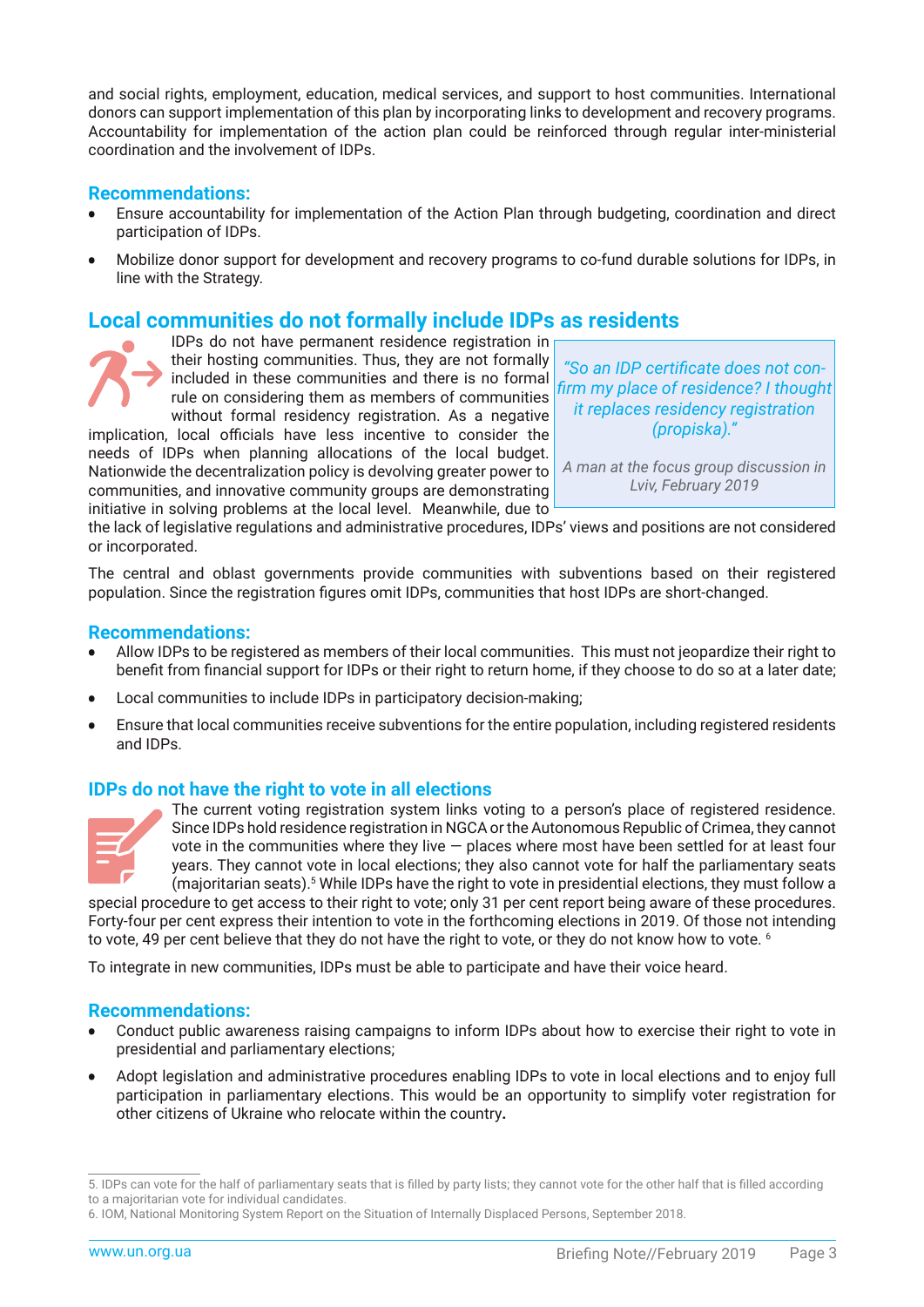and social rights, employment, education, medical services, and support to host communities. International donors can support implementation of this plan by incorporating links to development and recovery programs. Accountability for implementation of the action plan could be reinforced through regular inter-ministerial coordination and the involvement of IDPs.

## **Recommendations:**

- Ensure accountability for implementation of the Action Plan through budgeting, coordination and direct participation of IDPs.
- Mobilize donor support for development and recovery programs to co-fund durable solutions for IDPs, in line with the Strategy.

# **Local communities do not formally include IDPs as residents**

IDPs do not have permanent residence registration in their hosting communities. Thus, they are not formally included in these communities and there is no formal rule on considering them as members of communities without formal residency registration. As a negative

implication, local officials have less incentive to consider the needs of IDPs when planning allocations of the local budget. Nationwide the decentralization policy is devolving greater power to communities, and innovative community groups are demonstrating initiative in solving problems at the local level. Meanwhile, due to

*"So an IDP certificate does not confirm my place of residence? I thought it replaces residency registration (propiska)."*

*A man at the focus group discussion in Lviv, February 2019*

the lack of legislative regulations and administrative procedures, IDPs' views and positions are not considered or incorporated.

The central and oblast governments provide communities with subventions based on their registered population. Since the registration figures omit IDPs, communities that host IDPs are short-changed.

#### **Recommendations:**

- Allow IDPs to be registered as members of their local communities. This must not jeopardize their right to benefit from financial support for IDPs or their right to return home, if they choose to do so at a later date;
- Local communities to include IDPs in participatory decision-making;
- Ensure that local communities receive subventions for the entire population, including registered residents and IDPs.

## **IDPs do not have the right to vote in all elections**



The current voting registration system links voting to a person's place of registered residence. Since IDPs hold residence registration in NGCA or the Autonomous Republic of Crimea, they cannot vote in the communities where they live — places where most have been settled for at least four years. They cannot vote in local elections; they also cannot vote for half the parliamentary seats (majoritarian seats).5 While IDPs have the right to vote in presidential elections, they must follow a

special procedure to get access to their right to vote; only 31 per cent report being aware of these procedures. Forty-four per cent express their intention to vote in the forthcoming elections in 2019. Of those not intending to vote, 49 per cent believe that they do not have the right to vote, or they do not know how to vote. <sup>6</sup>

To integrate in new communities, IDPs must be able to participate and have their voice heard.

#### **Recommendations:**

- Conduct public awareness raising campaigns to inform IDPs about how to exercise their right to vote in presidential and parliamentary elections;
- Adopt legislation and administrative procedures enabling IDPs to vote in local elections and to enjoy full participation in parliamentary elections. This would be an opportunity to simplify voter registration for other citizens of Ukraine who relocate within the country**.**

<sup>5.</sup> IDPs can vote for the half of parliamentary seats that is filled by party lists; they cannot vote for the other half that is filled according to a majoritarian vote for individual candidates.

<sup>6.</sup> IOM, National Monitoring System Report on the Situation of Internally Displaced Persons, September 2018.